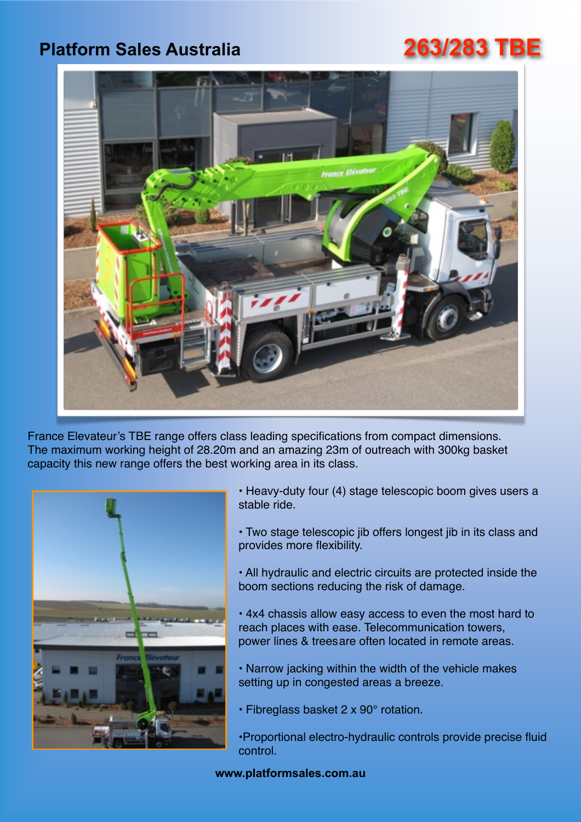## **Platform Sales Australia 263/283 TBE**



France Elevateur's TBE range offers class leading specifications from compact dimensions. The maximum working height of 28.20m and an amazing 23m of outreach with 300kg basket capacity this new range offers the best working area in its class.



- Heavy-duty four (4) stage telescopic boom gives users a stable ride.
- Two stage telescopic jib offers longest jib in its class and provides more flexibility.
- All hydraulic and electric circuits are protected inside the boom sections reducing the risk of damage.
- 4x4 chassis allow easy access to even the most hard to reach places with ease. Telecommunication towers, power lines & treesare often located in remote areas.
- Narrow jacking within the width of the vehicle makes setting up in congested areas a breeze.
- Fibreglass basket 2 x 90° rotation.
- •Proportional electro-hydraulic controls provide precise fluid control.

## **[www.platformsales.com.au](http://www.platformsales.com.au)**